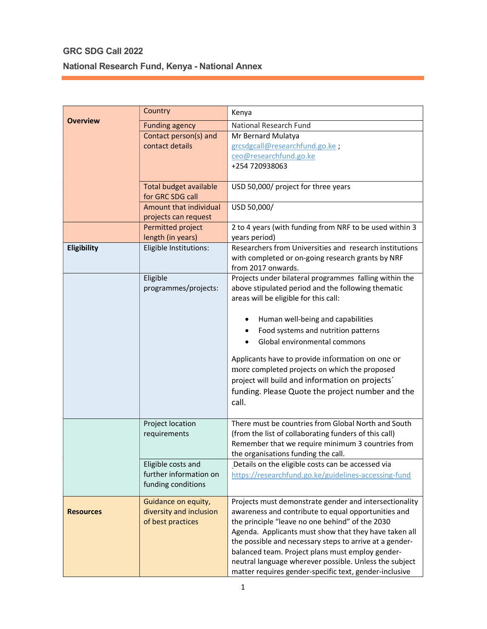## GRC SDG Call 2022 National Research Fund, Kenya - National Annex

|                  | Country                                                             | Kenya                                                                                                                                                                                                                                                                                                                                                                                                                                                        |
|------------------|---------------------------------------------------------------------|--------------------------------------------------------------------------------------------------------------------------------------------------------------------------------------------------------------------------------------------------------------------------------------------------------------------------------------------------------------------------------------------------------------------------------------------------------------|
| <b>Overview</b>  | <b>Funding agency</b>                                               | National Research Fund                                                                                                                                                                                                                                                                                                                                                                                                                                       |
|                  | Contact person(s) and                                               | Mr Bernard Mulatya                                                                                                                                                                                                                                                                                                                                                                                                                                           |
|                  | contact details                                                     | grcsdgcall@researchfund.go.ke;                                                                                                                                                                                                                                                                                                                                                                                                                               |
|                  |                                                                     | ceo@researchfund.go.ke                                                                                                                                                                                                                                                                                                                                                                                                                                       |
|                  |                                                                     | +254 720938063                                                                                                                                                                                                                                                                                                                                                                                                                                               |
|                  | <b>Total budget available</b><br>for GRC SDG call                   | USD 50,000/ project for three years                                                                                                                                                                                                                                                                                                                                                                                                                          |
|                  | Amount that individual                                              | USD 50,000/                                                                                                                                                                                                                                                                                                                                                                                                                                                  |
|                  |                                                                     |                                                                                                                                                                                                                                                                                                                                                                                                                                                              |
|                  | projects can request<br>Permitted project                           | 2 to 4 years (with funding from NRF to be used within 3                                                                                                                                                                                                                                                                                                                                                                                                      |
|                  | length (in years)                                                   | years period)                                                                                                                                                                                                                                                                                                                                                                                                                                                |
| Eligibility      | Eligible Institutions:                                              | Researchers from Universities and research institutions<br>with completed or on-going research grants by NRF<br>from 2017 onwards.                                                                                                                                                                                                                                                                                                                           |
|                  | Eligible<br>programmes/projects:                                    | Projects under bilateral programmes falling within the<br>above stipulated period and the following thematic<br>areas will be eligible for this call:                                                                                                                                                                                                                                                                                                        |
|                  |                                                                     | Human well-being and capabilities<br>Food systems and nutrition patterns<br>Global environmental commons                                                                                                                                                                                                                                                                                                                                                     |
|                  |                                                                     | Applicants have to provide information on one or<br>more completed projects on which the proposed<br>project will build and information on projects'<br>funding. Please Quote the project number and the<br>call.                                                                                                                                                                                                                                            |
|                  | Project location<br>requirements                                    | There must be countries from Global North and South<br>(from the list of collaborating funders of this call)<br>Remember that we require minimum 3 countries from<br>the organisations funding the call.                                                                                                                                                                                                                                                     |
|                  | Eligible costs and<br>further information on<br>funding conditions  | Details on the eligible costs can be accessed via<br>https://researchfund.go.ke/guidelines-accessing-fund                                                                                                                                                                                                                                                                                                                                                    |
| <b>Resources</b> | Guidance on equity,<br>diversity and inclusion<br>of best practices | Projects must demonstrate gender and intersectionality<br>awareness and contribute to equal opportunities and<br>the principle "leave no one behind" of the 2030<br>Agenda. Applicants must show that they have taken all<br>the possible and necessary steps to arrive at a gender-<br>balanced team. Project plans must employ gender-<br>neutral language wherever possible. Unless the subject<br>matter requires gender-specific text, gender-inclusive |